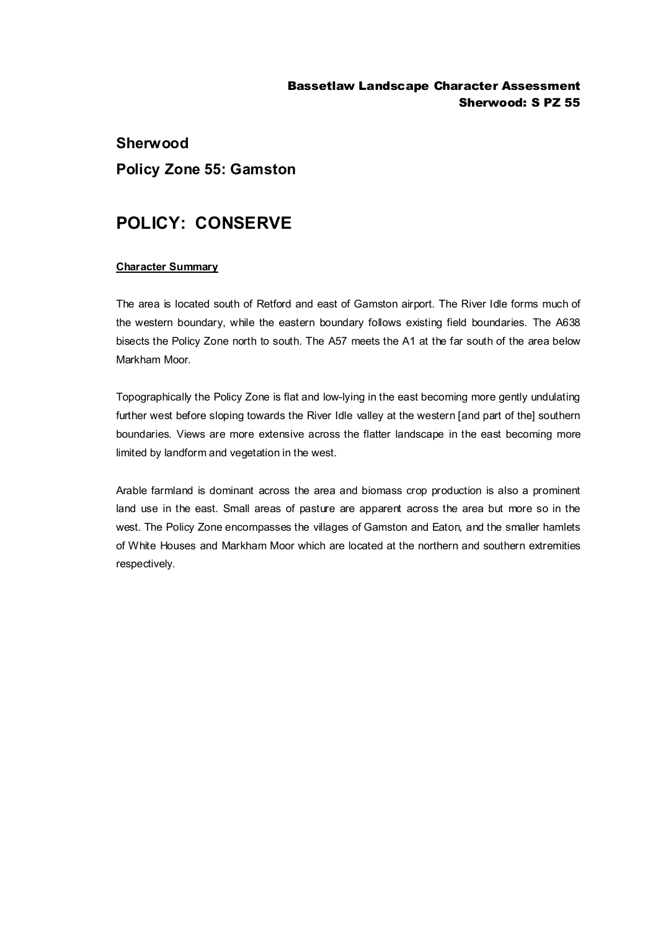#### Bassetlaw Landscape Character Assessment Sherwood: S PZ 55

# **Sherwood Policy Zone 55: Gamston**

## **POLICY: CONSERVE**

#### **Character Summary**

The area is located south of Retford and east of Gamston airport. The River Idle forms much of the western boundary, while the eastern boundary follows existing field boundaries. The A638 bisects the Policy Zone north to south. The A57 meets the A1 at the far south of the area below Markham Moor.

Topographically the Policy Zone is flat and low-lying in the east becoming more gently undulating further west before sloping towards the River Idle valley at the western [and part of the] southern boundaries. Views are more extensive across the flatter landscape in the east becoming more limited by landform and vegetation in the west.

Arable farmland is dominant across the area and biomass crop production is also a prominent land use in the east. Small areas of pasture are apparent across the area but more so in the west. The Policy Zone encompasses the villages of Gamston and Eaton, and the smaller hamlets of White Houses and Markham Moor which are located at the northern and southern extremities respectively.